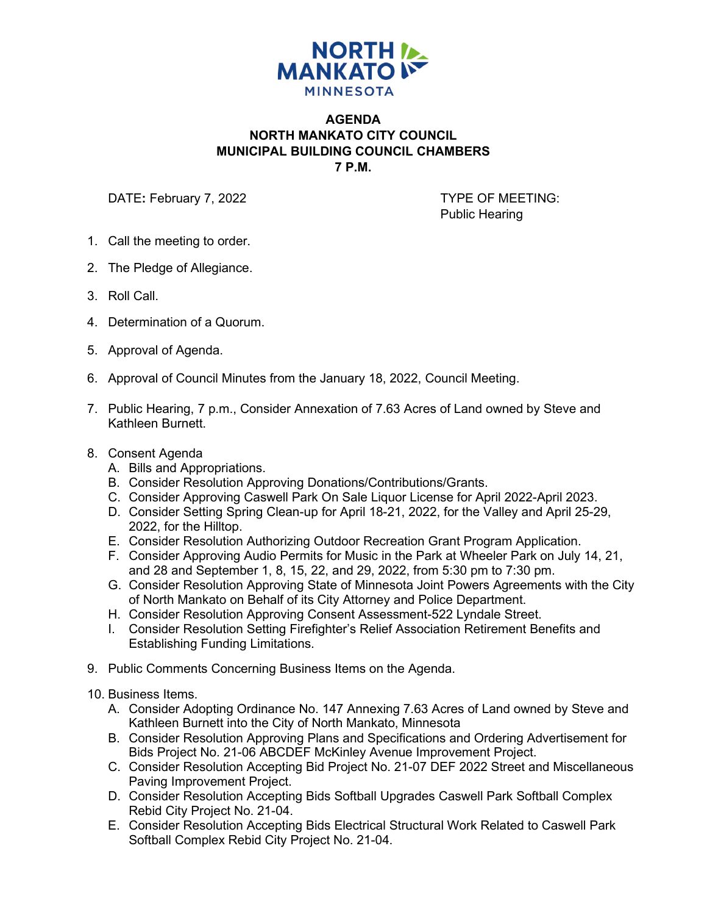

## **AGENDA NORTH MANKATO CITY COUNCIL MUNICIPAL BUILDING COUNCIL CHAMBERS 7 P.M.**

DATE: February 7, 2022 **TYPE OF MEETING:** 

Public Hearing

- 1. Call the meeting to order.
- 2. The Pledge of Allegiance.
- 3. Roll Call.
- 4. Determination of a Quorum.
- 5. Approval of Agenda.
- 6. Approval of Council Minutes from the January 18, 2022, Council Meeting.
- 7. Public Hearing, 7 p.m., Consider Annexation of 7.63 Acres of Land owned by Steve and Kathleen Burnett.
- 8. Consent Agenda
	- A. Bills and Appropriations.
	- B. Consider Resolution Approving Donations/Contributions/Grants.
	- C. Consider Approving Caswell Park On Sale Liquor License for April 2022-April 2023.
	- D. Consider Setting Spring Clean-up for April 18-21, 2022, for the Valley and April 25-29, 2022, for the Hilltop.
	- E. Consider Resolution Authorizing Outdoor Recreation Grant Program Application.
	- F. Consider Approving Audio Permits for Music in the Park at Wheeler Park on July 14, 21, and 28 and September 1, 8, 15, 22, and 29, 2022, from 5:30 pm to 7:30 pm.
	- G. Consider Resolution Approving State of Minnesota Joint Powers Agreements with the City of North Mankato on Behalf of its City Attorney and Police Department.
	- H. Consider Resolution Approving Consent Assessment-522 Lyndale Street.
	- I. Consider Resolution Setting Firefighter's Relief Association Retirement Benefits and Establishing Funding Limitations.
- 9. Public Comments Concerning Business Items on the Agenda.
- 10. Business Items.
	- A. Consider Adopting Ordinance No. 147 Annexing 7.63 Acres of Land owned by Steve and Kathleen Burnett into the City of North Mankato, Minnesota
	- B. Consider Resolution Approving Plans and Specifications and Ordering Advertisement for Bids Project No. 21-06 ABCDEF McKinley Avenue Improvement Project.
	- C. Consider Resolution Accepting Bid Project No. 21-07 DEF 2022 Street and Miscellaneous Paving Improvement Project.
	- D. Consider Resolution Accepting Bids Softball Upgrades Caswell Park Softball Complex Rebid City Project No. 21-04.
	- E. Consider Resolution Accepting Bids Electrical Structural Work Related to Caswell Park Softball Complex Rebid City Project No. 21-04.